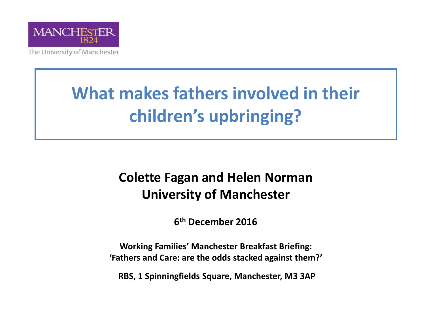

The University of Manchester

#### **What makes fathers involved in their children's upbringing?**

#### **Colette Fagan and Helen Norman University of Manchester**

**6 th December 2016**

**Working Families' Manchester Breakfast Briefing: 'Fathers and Care: are the odds stacked against them?'**

**RBS, 1 Spinningfields Square, Manchester, M3 3AP**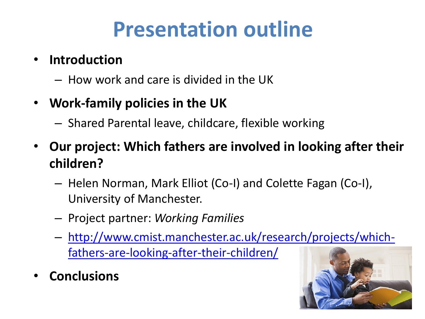### **Presentation outline**

- **Introduction** 
	- How work and care is divided in the UK
- **Work-family policies in the UK**
	- Shared Parental leave, childcare, flexible working
- **Our project: Which fathers are involved in looking after their children?** 
	- Helen Norman, Mark Elliot (Co-I) and Colette Fagan (Co-I), University of Manchester.
	- Project partner: *Working Families*
	- [http://www.cmist.manchester.ac.uk/research/projects/which](http://www.cmist.manchester.ac.uk/research/projects/which-fathers-are-looking-after-their-children/)fathers-are-looking-after-their-children/
- **Conclusions**

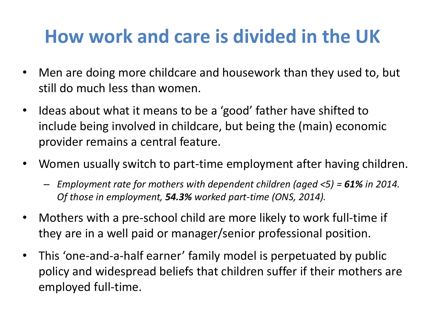#### **How work and care is divided in the UK**

- Men are doing more childcare and housework than they used to, but still do much less than women.
- Ideas about what it means to be a 'good' father have shifted to include being involved in childcare, but being the (main) economic provider remains a central feature.
- Women usually switch to part-time employment after having children.
	- *Employment rate for mothers with dependent children (aged <5) = 61% in 2014. Of those in employment, 54.3% worked part-time (ONS, 2014).*
- Mothers with a pre-school child are more likely to work full-time if they are in a well paid or manager/senior professional position.
- This 'one-and-a-half earner' family model is perpetuated by public policy and widespread beliefs that children suffer if their mothers are employed full-time.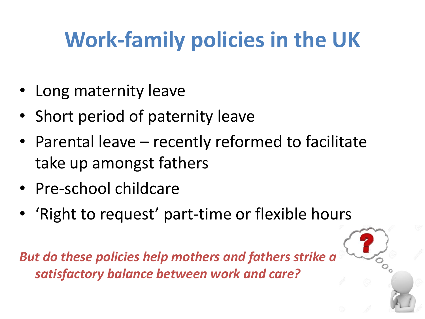# **Work-family policies in the UK**

- Long maternity leave
- Short period of paternity leave
- Parental leave recently reformed to facilitate take up amongst fathers
- Pre-school childcare
- 'Right to request' part-time or flexible hours

*But do these policies help mothers and fathers strike a satisfactory balance between work and care?*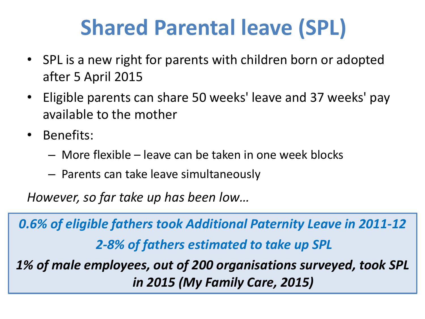## **Shared Parental leave (SPL)**

- SPL is a new right for parents with children born or adopted after 5 April 2015
- Eligible parents can share 50 weeks' leave and 37 weeks' pay available to the mother
- Benefits:
	- More flexible leave can be taken in one week blocks
	- Parents can take leave simultaneously

*However, so far take up has been low…*

*0.6% of eligible fathers took Additional Paternity Leave in 2011-12 2-8% of fathers estimated to take up SPL 1% of male employees, out of 200 organisations surveyed, took SPL in 2015 (My Family Care, 2015)*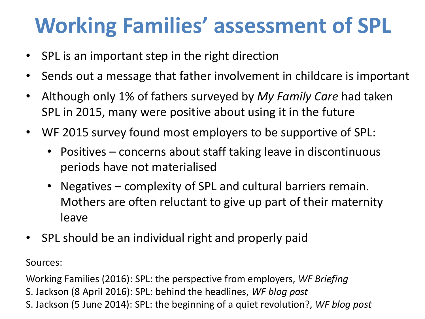### **Working Families' assessment of SPL**

- SPL is an important step in the right direction
- Sends out a message that father involvement in childcare is important
- Although only 1% of fathers surveyed by *My Family Care* had taken SPL in 2015, many were positive about using it in the future
- WF 2015 survey found most employers to be supportive of SPL:
	- Positives concerns about staff taking leave in discontinuous periods have not materialised
	- Negatives complexity of SPL and cultural barriers remain. Mothers are often reluctant to give up part of their maternity leave
- SPL should be an individual right and properly paid

Sources:

Working Families (2016): SPL: the perspective from employers, *WF Briefing* S. Jackson (8 April 2016): SPL: behind the headlines, *WF blog post* S. Jackson (5 June 2014): SPL: the beginning of a quiet revolution?, *WF blog post*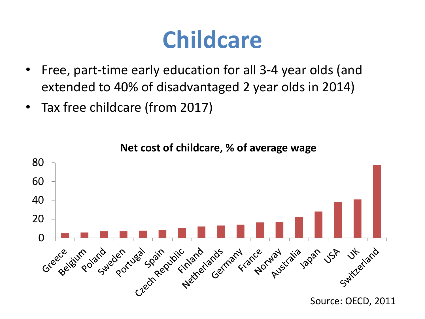## **Childcare**

- Free, part-time early education for all 3-4 year olds (and extended to 40% of disadvantaged 2 year olds in 2014)
- Tax free childcare (from 2017)

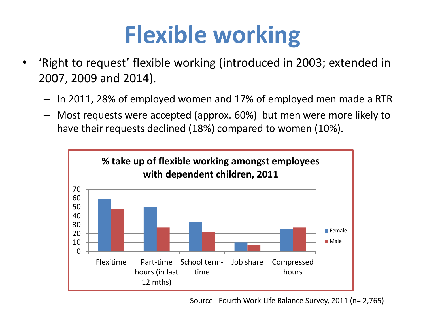# **Flexible working**

- 'Right to request' flexible working (introduced in 2003; extended in 2007, 2009 and 2014).
	- In 2011, 28% of employed women and 17% of employed men made a RTR
	- Most requests were accepted (approx. 60%) but men were more likely to have their requests declined (18%) compared to women (10%).



Source: Fourth Work-Life Balance Survey, 2011 (n= 2,765)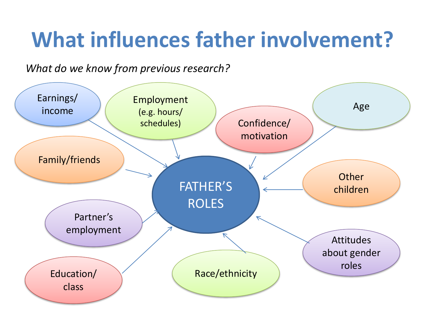## **What influences father involvement?**

*What do we know from previous research?*

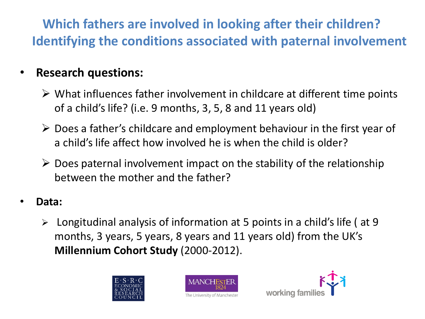**Which fathers are involved in looking after their children? Identifying the conditions associated with paternal involvement**

#### • **Research questions:**

- $\triangleright$  What influences father involvement in childcare at different time points of a child's life? (i.e. 9 months, 3, 5, 8 and 11 years old)
- $\triangleright$  Does a father's childcare and employment behaviour in the first year of a child's life affect how involved he is when the child is older?
- $\triangleright$  Does paternal involvement impact on the stability of the relationship between the mother and the father?
- **Data:**
	- $\triangleright$  Longitudinal analysis of information at 5 points in a child's life (at 9 months, 3 years, 5 years, 8 years and 11 years old) from the UK's **Millennium Cohort Study** (2000-2012).





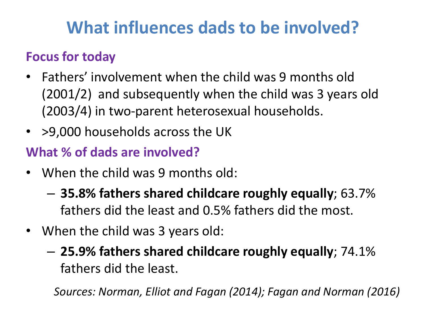#### **What influences dads to be involved?**

#### **Focus for today**

- Fathers' involvement when the child was 9 months old (2001/2) and subsequently when the child was 3 years old (2003/4) in two-parent heterosexual households.
- > 9,000 households across the UK

#### **What % of dads are involved?**

- When the child was 9 months old:
	- **35.8% fathers shared childcare roughly equally**; 63.7% fathers did the least and 0.5% fathers did the most.
- When the child was 3 years old:
	- **25.9% fathers shared childcare roughly equally**; 74.1% fathers did the least.

*Sources: Norman, Elliot and Fagan (2014); Fagan and Norman (2016)*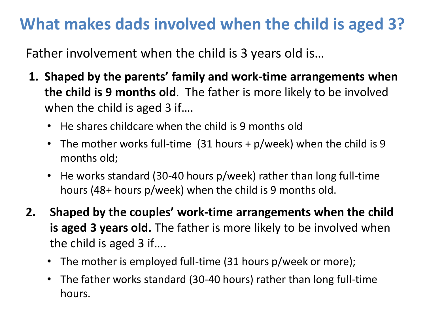#### **What makes dads involved when the child is aged 3?**

Father involvement when the child is 3 years old is…

- **1. Shaped by the parents' family and work-time arrangements when the child is 9 months old**. The father is more likely to be involved when the child is aged 3 if....
	- He shares childcare when the child is 9 months old
	- The mother works full-time (31 hours + p/week) when the child is 9 months old;
	- He works standard (30-40 hours p/week) rather than long full-time hours (48+ hours p/week) when the child is 9 months old.
- **2. Shaped by the couples' work-time arrangements when the child is aged 3 years old.** The father is more likely to be involved when the child is aged 3 if….
	- The mother is employed full-time (31 hours p/week or more);
	- The father works standard (30-40 hours) rather than long full-time hours.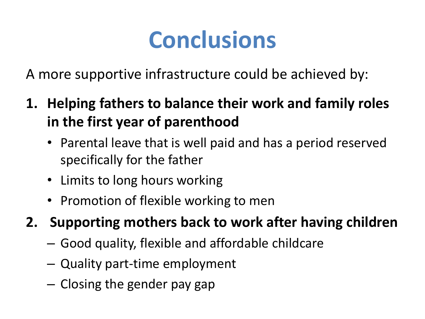# **Conclusions**

A more supportive infrastructure could be achieved by:

- **1. Helping fathers to balance their work and family roles in the first year of parenthood** 
	- Parental leave that is well paid and has a period reserved specifically for the father
	- Limits to long hours working
	- Promotion of flexible working to men
- **2. Supporting mothers back to work after having children**
	- Good quality, flexible and affordable childcare
	- Quality part-time employment
	- Closing the gender pay gap